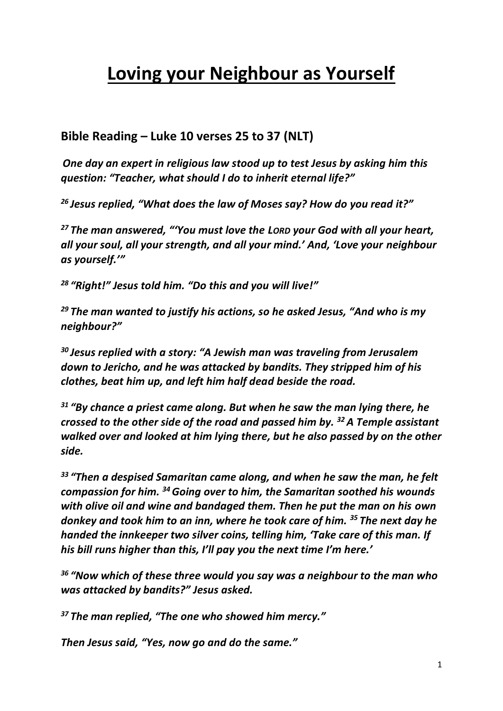# **Loving your Neighbour as Yourself**

## **Bible Reading – Luke 10 verses 25 to 37 (NLT)**

*One day an expert in religious law stood up to test Jesus by asking him this question: "Teacher, what should I do to inherit eternal life?"*

*<sup>26</sup> Jesus replied, "What does the law of Moses say? How do you read it?"*

*<sup>27</sup> The man answered, "'You must love the LORD your God with all your heart, all your soul, all your strength, and all your mind.' And, 'Love your neighbour as yourself.'"*

*<sup>28</sup> "Right!" Jesus told him. "Do this and you will live!"*

*<sup>29</sup> The man wanted to justify his actions, so he asked Jesus, "And who is my neighbour?"*

*<sup>30</sup> Jesus replied with a story: "A Jewish man was traveling from Jerusalem down to Jericho, and he was attacked by bandits. They stripped him of his clothes, beat him up, and left him half dead beside the road.*

*<sup>31</sup> "By chance a priest came along. But when he saw the man lying there, he crossed to the other side of the road and passed him by. <sup>32</sup>A Temple assistant walked over and looked at him lying there, but he also passed by on the other side.*

*<sup>33</sup> "Then a despised Samaritan came along, and when he saw the man, he felt compassion for him. <sup>34</sup>Going over to him, the Samaritan soothed his wounds with olive oil and wine and bandaged them. Then he put the man on his own donkey and took him to an inn, where he took care of him. <sup>35</sup> The next day he handed the innkeeper two silver coins, telling him, 'Take care of this man. If his bill runs higher than this, I'll pay you the next time I'm here.'*

*<sup>36</sup> "Now which of these three would you say was a neighbour to the man who was attacked by bandits?" Jesus asked.*

*<sup>37</sup> The man replied, "The one who showed him mercy."*

*Then Jesus said, "Yes, now go and do the same."*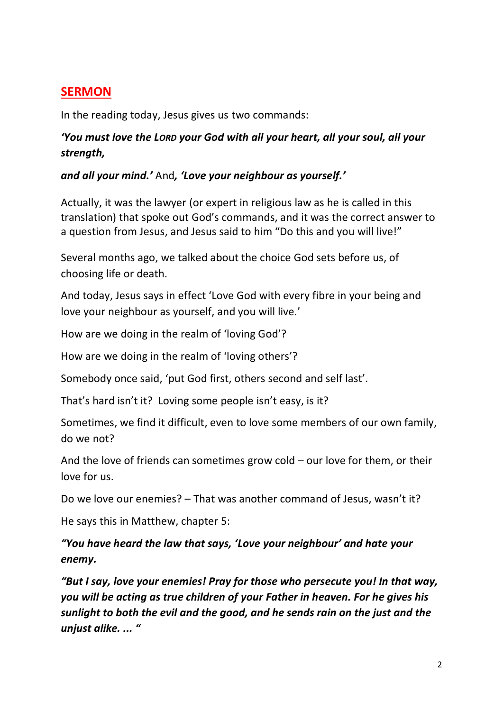## **SERMON**

In the reading today, Jesus gives us two commands:

## *'You must love the LORD your God with all your heart, all your soul, all your strength,*

#### *and all your mind.'* And*, 'Love your neighbour as yourself.'*

Actually, it was the lawyer (or expert in religious law as he is called in this translation) that spoke out God's commands, and it was the correct answer to a question from Jesus, and Jesus said to him "Do this and you will live!"

Several months ago, we talked about the choice God sets before us, of choosing life or death.

And today, Jesus says in effect 'Love God with every fibre in your being and love your neighbour as yourself, and you will live.'

How are we doing in the realm of 'loving God'?

How are we doing in the realm of 'loving others'?

Somebody once said, 'put God first, others second and self last'.

That's hard isn't it? Loving some people isn't easy, is it?

Sometimes, we find it difficult, even to love some members of our own family, do we not?

And the love of friends can sometimes grow cold – our love for them, or their love for us.

Do we love our enemies? – That was another command of Jesus, wasn't it?

He says this in Matthew, chapter 5:

*"You have heard the law that says, 'Love your neighbour' and hate your enemy.* 

*"But I say, love your enemies! Pray for those who persecute you! In that way, you will be acting as true children of your Father in heaven. For he gives his sunlight to both the evil and the good, and he sends rain on the just and the unjust alike. ... "*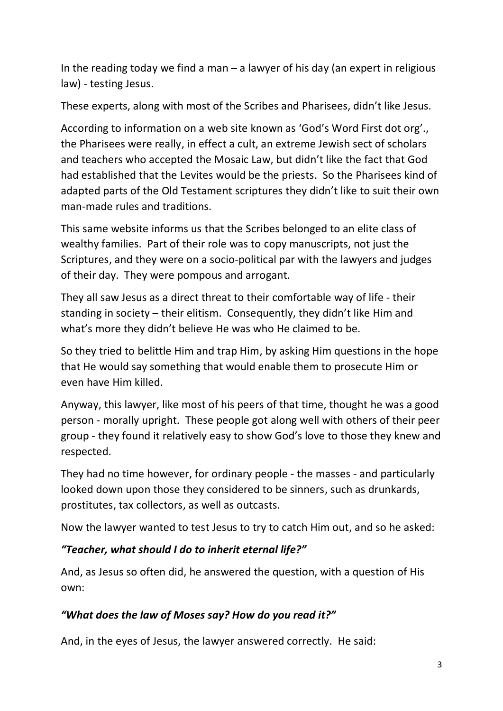In the reading today we find a man  $-$  a lawyer of his day (an expert in religious law) - testing Jesus.

These experts, along with most of the Scribes and Pharisees, didn't like Jesus.

According to information on a web site known as 'God's Word First dot org'., the Pharisees were really, in effect a cult, an extreme Jewish sect of scholars and teachers who accepted the Mosaic Law, but didn't like the fact that God had established that the Levites would be the priests. So the Pharisees kind of adapted parts of the Old Testament scriptures they didn't like to suit their own man-made rules and traditions.

This same website informs us that the Scribes belonged to an elite class of wealthy families. Part of their role was to copy manuscripts, not just the Scriptures, and they were on a socio-political par with the lawyers and judges of their day. They were pompous and arrogant.

They all saw Jesus as a direct threat to their comfortable way of life - their standing in society – their elitism. Consequently, they didn't like Him and what's more they didn't believe He was who He claimed to be.

So they tried to belittle Him and trap Him, by asking Him questions in the hope that He would say something that would enable them to prosecute Him or even have Him killed.

Anyway, this lawyer, like most of his peers of that time, thought he was a good person - morally upright. These people got along well with others of their peer group - they found it relatively easy to show God's love to those they knew and respected.

They had no time however, for ordinary people - the masses - and particularly looked down upon those they considered to be sinners, such as drunkards, prostitutes, tax collectors, as well as outcasts.

Now the lawyer wanted to test Jesus to try to catch Him out, and so he asked:

## *"Teacher, what should I do to inherit eternal life?"*

And, as Jesus so often did, he answered the question, with a question of His own:

### *"What does the law of Moses say? How do you read it?"*

And, in the eyes of Jesus, the lawyer answered correctly. He said: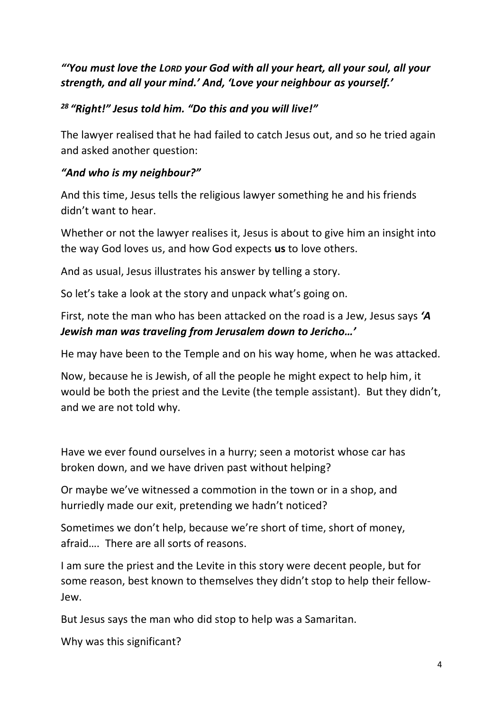## *"'You must love the LORD your God with all your heart, all your soul, all your strength, and all your mind.' And, 'Love your neighbour as yourself.'*

## *<sup>28</sup> "Right!" Jesus told him. "Do this and you will live!"*

The lawyer realised that he had failed to catch Jesus out, and so he tried again and asked another question:

### *"And who is my neighbour?"*

And this time, Jesus tells the religious lawyer something he and his friends didn't want to hear.

Whether or not the lawyer realises it, Jesus is about to give him an insight into the way God loves us, and how God expects **us** to love others.

And as usual, Jesus illustrates his answer by telling a story.

So let's take a look at the story and unpack what's going on.

First, note the man who has been attacked on the road is a Jew, Jesus says *'A Jewish man was traveling from Jerusalem down to Jericho…'*

He may have been to the Temple and on his way home, when he was attacked.

Now, because he is Jewish, of all the people he might expect to help him, it would be both the priest and the Levite (the temple assistant). But they didn't, and we are not told why.

Have we ever found ourselves in a hurry; seen a motorist whose car has broken down, and we have driven past without helping?

Or maybe we've witnessed a commotion in the town or in a shop, and hurriedly made our exit, pretending we hadn't noticed?

Sometimes we don't help, because we're short of time, short of money, afraid…. There are all sorts of reasons.

I am sure the priest and the Levite in this story were decent people, but for some reason, best known to themselves they didn't stop to help their fellow-Jew.

But Jesus says the man who did stop to help was a Samaritan.

Why was this significant?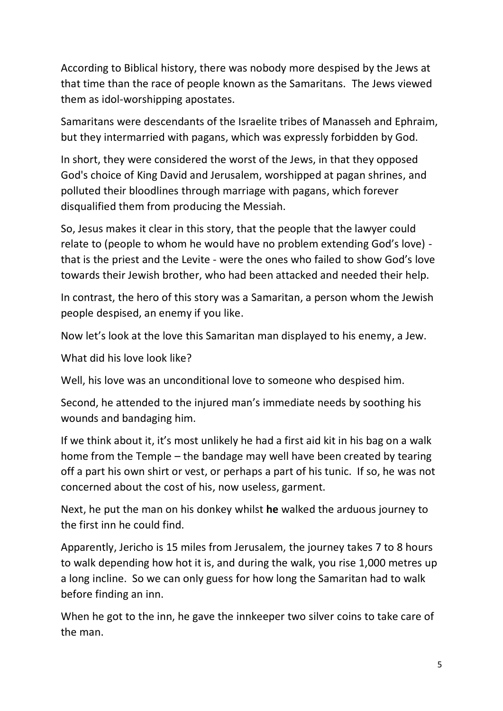According to Biblical history, there was nobody more despised by the Jews at that time than the race of people known as the Samaritans. The Jews viewed them as idol-worshipping apostates.

Samaritans were descendants of the Israelite tribes of Manasseh and Ephraim, but they intermarried with pagans, which was expressly forbidden by God.

In short, they were considered the worst of the Jews, in that they opposed God's choice of King David and Jerusalem, worshipped at pagan shrines, and polluted their bloodlines through marriage with pagans, which forever disqualified them from producing the Messiah.

So, Jesus makes it clear in this story, that the people that the lawyer could relate to (people to whom he would have no problem extending God's love) that is the priest and the Levite - were the ones who failed to show God's love towards their Jewish brother, who had been attacked and needed their help.

In contrast, the hero of this story was a Samaritan, a person whom the Jewish people despised, an enemy if you like.

Now let's look at the love this Samaritan man displayed to his enemy, a Jew.

What did his love look like?

Well, his love was an unconditional love to someone who despised him.

Second, he attended to the injured man's immediate needs by soothing his wounds and bandaging him.

If we think about it, it's most unlikely he had a first aid kit in his bag on a walk home from the Temple – the bandage may well have been created by tearing off a part his own shirt or vest, or perhaps a part of his tunic. If so, he was not concerned about the cost of his, now useless, garment.

Next, he put the man on his donkey whilst **he** walked the arduous journey to the first inn he could find.

Apparently, Jericho is 15 miles from Jerusalem, the journey takes 7 to 8 hours to walk depending how hot it is, and during the walk, you rise 1,000 metres up a long incline. So we can only guess for how long the Samaritan had to walk before finding an inn.

When he got to the inn, he gave the innkeeper two silver coins to take care of the man.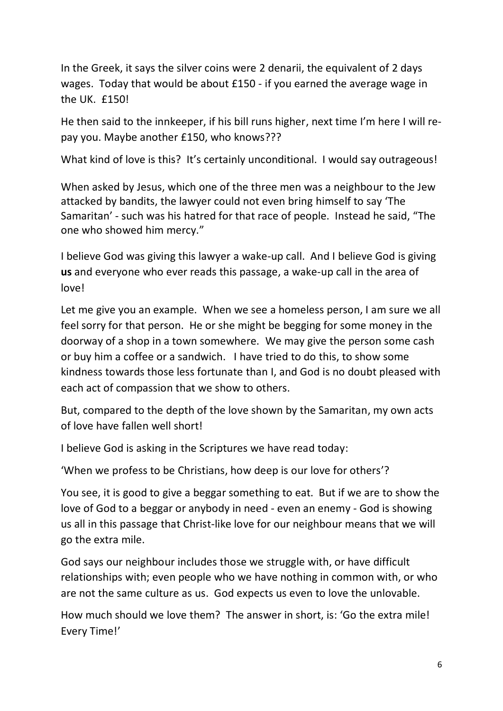In the Greek, it says the silver coins were 2 denarii, the equivalent of 2 days wages. Today that would be about £150 - if you earned the average wage in the UK. £150!

He then said to the innkeeper, if his bill runs higher, next time I'm here I will repay you. Maybe another £150, who knows???

What kind of love is this? It's certainly unconditional. I would say outrageous!

When asked by Jesus, which one of the three men was a neighbour to the Jew attacked by bandits, the lawyer could not even bring himself to say 'The Samaritan' - such was his hatred for that race of people. Instead he said, "The one who showed him mercy."

I believe God was giving this lawyer a wake-up call. And I believe God is giving **us** and everyone who ever reads this passage, a wake-up call in the area of love!

Let me give you an example. When we see a homeless person, I am sure we all feel sorry for that person. He or she might be begging for some money in the doorway of a shop in a town somewhere. We may give the person some cash or buy him a coffee or a sandwich. I have tried to do this, to show some kindness towards those less fortunate than I, and God is no doubt pleased with each act of compassion that we show to others.

But, compared to the depth of the love shown by the Samaritan, my own acts of love have fallen well short!

I believe God is asking in the Scriptures we have read today:

'When we profess to be Christians, how deep is our love for others'?

You see, it is good to give a beggar something to eat. But if we are to show the love of God to a beggar or anybody in need - even an enemy - God is showing us all in this passage that Christ-like love for our neighbour means that we will go the extra mile.

God says our neighbour includes those we struggle with, or have difficult relationships with; even people who we have nothing in common with, or who are not the same culture as us. God expects us even to love the unlovable.

How much should we love them? The answer in short, is: 'Go the extra mile! Every Time!'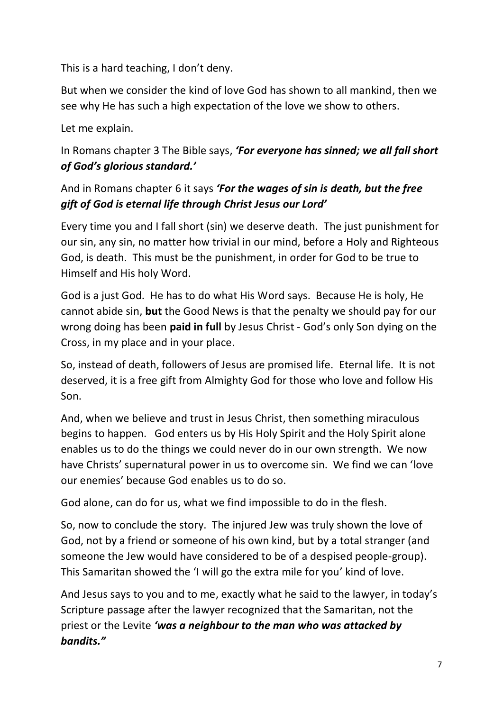This is a hard teaching, I don't deny.

But when we consider the kind of love God has shown to all mankind, then we see why He has such a high expectation of the love we show to others.

Let me explain.

# In Romans chapter 3 The Bible says, *'For everyone has sinned; we all fall short of God's glorious standard.'*

## And in Romans chapter 6 it says *'For the wages of sin is death, but the free gift of God is eternal life through Christ Jesus our Lord'*

Every time you and I fall short (sin) we deserve death. The just punishment for our sin, any sin, no matter how trivial in our mind, before a Holy and Righteous God, is death. This must be the punishment, in order for God to be true to Himself and His holy Word.

God is a just God. He has to do what His Word says. Because He is holy, He cannot abide sin, **but** the Good News is that the penalty we should pay for our wrong doing has been **paid in full** by Jesus Christ - God's only Son dying on the Cross, in my place and in your place.

So, instead of death, followers of Jesus are promised life. Eternal life. It is not deserved, it is a free gift from Almighty God for those who love and follow His Son.

And, when we believe and trust in Jesus Christ, then something miraculous begins to happen. God enters us by His Holy Spirit and the Holy Spirit alone enables us to do the things we could never do in our own strength. We now have Christs' supernatural power in us to overcome sin. We find we can 'love our enemies' because God enables us to do so.

God alone, can do for us, what we find impossible to do in the flesh.

So, now to conclude the story. The injured Jew was truly shown the love of God, not by a friend or someone of his own kind, but by a total stranger (and someone the Jew would have considered to be of a despised people-group). This Samaritan showed the 'I will go the extra mile for you' kind of love.

And Jesus says to you and to me, exactly what he said to the lawyer, in today's Scripture passage after the lawyer recognized that the Samaritan, not the priest or the Levite *'was a neighbour to the man who was attacked by bandits."*